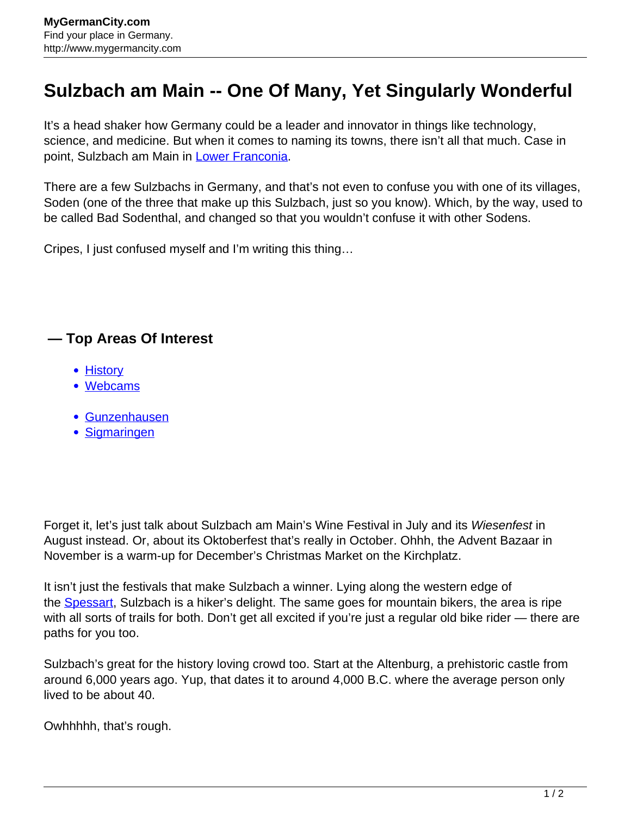## **Sulzbach am Main -- One Of Many, Yet Singularly Wonderful**

It's a head shaker how Germany could be a leader and innovator in things like technology, science, and medicine. But when it comes to naming its towns, there isn't all that much. Case in point, Sulzbach am Main in [Lower Franconia](http://www.mygermancity.com/lower-franconia).

There are a few Sulzbachs in Germany, and that's not even to confuse you with one of its villages, Soden (one of the three that make up this Sulzbach, just so you know). Which, by the way, used to be called Bad Sodenthal, and changed so that you wouldn't confuse it with other Sodens.

Cripes, I just confused myself and I'm writing this thing…

## **— Top Areas Of Interest**

- [History](http://www.mygermancity.com/leipzig-history)
- [Webcams](http://www.mygermancity.com/neustadt-holstein-webcams)
- [Gunzenhausen](http://www.mygermancity.com/gunzenhausen)
- [Sigmaringen](http://www.mygermancity.com/sigmaringen)

Forget it, let's just talk about Sulzbach am Main's Wine Festival in July and its Wiesenfest in August instead. Or, about its Oktoberfest that's really in October. Ohhh, the Advent Bazaar in November is a warm-up for December's Christmas Market on the Kirchplatz.

It isn't just the festivals that make Sulzbach a winner. Lying along the western edge of the **Spessart**, Sulzbach is a hiker's delight. The same goes for mountain bikers, the area is ripe with all sorts of trails for both. Don't get all excited if you're just a regular old bike rider — there are paths for you too.

Sulzbach's great for the history loving crowd too. Start at the Altenburg, a prehistoric castle from around 6,000 years ago. Yup, that dates it to around 4,000 B.C. where the average person only lived to be about 40.

Owhhhhh, that's rough.